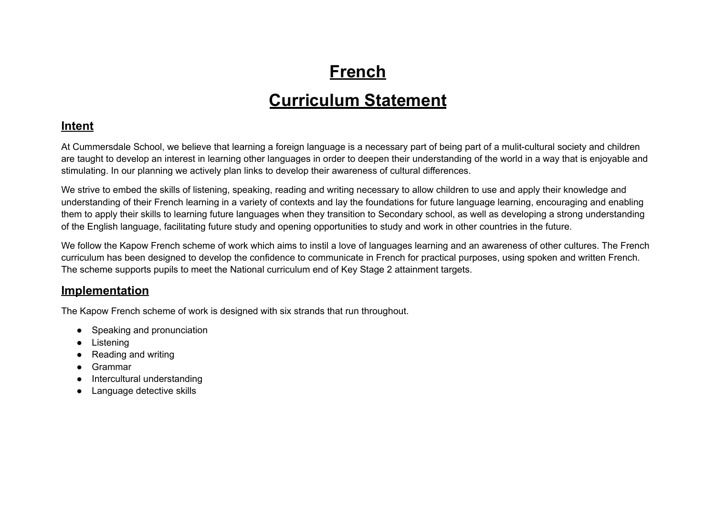## **French**

### **Curriculum Statement**

#### **Intent**

At Cummersdale School, we believe that learning a foreign language is a necessary part of being part of a mulit-cultural society and children are taught to develop an interest in learning other languages in order to deepen their understanding of the world in a way that is enjoyable and stimulating. In our planning we actively plan links to develop their awareness of cultural differences.

We strive to embed the skills of listening, speaking, reading and writing necessary to allow children to use and apply their knowledge and understanding of their French learning in a variety of contexts and lay the foundations for future language learning, encouraging and enabling them to apply their skills to learning future languages when they transition to Secondary school, as well as developing a strong understanding of the English language, facilitating future study and opening opportunities to study and work in other countries in the future.

We follow the Kapow French scheme of work which aims to instil a love of languages learning and an awareness of other cultures. The French curriculum has been designed to develop the confidence to communicate in French for practical purposes, using spoken and written French. The scheme supports pupils to meet the National curriculum end of Key Stage 2 attainment targets.

#### **Implementation**

The Kapow French scheme of work is designed with six strands that run throughout.

- Speaking and pronunciation
- Listening
- Reading and writing
- Grammar
- Intercultural understanding
- Language detective skills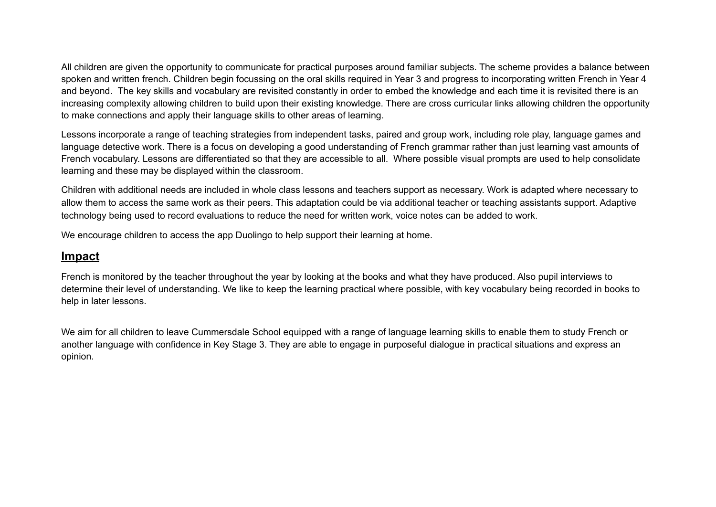All children are given the opportunity to communicate for practical purposes around familiar subjects. The scheme provides a balance between spoken and written french. Children begin focussing on the oral skills required in Year 3 and progress to incorporating written French in Year 4 and beyond. The key skills and vocabulary are revisited constantly in order to embed the knowledge and each time it is revisited there is an increasing complexity allowing children to build upon their existing knowledge. There are cross curricular links allowing children the opportunity to make connections and apply their language skills to other areas of learning.

Lessons incorporate a range of teaching strategies from independent tasks, paired and group work, including role play, language games and language detective work. There is a focus on developing a good understanding of French grammar rather than just learning vast amounts of French vocabulary. Lessons are differentiated so that they are accessible to all. Where possible visual prompts are used to help consolidate learning and these may be displayed within the classroom.

Children with additional needs are included in whole class lessons and teachers support as necessary. Work is adapted where necessary to allow them to access the same work as their peers. This adaptation could be via additional teacher or teaching assistants support. Adaptive technology being used to record evaluations to reduce the need for written work, voice notes can be added to work.

We encourage children to access the app Duolingo to help support their learning at home.

#### **Impact**

French is monitored by the teacher throughout the year by looking at the books and what they have produced. Also pupil interviews to determine their level of understanding. We like to keep the learning practical where possible, with key vocabulary being recorded in books to help in later lessons.

We aim for all children to leave Cummersdale School equipped with a range of language learning skills to enable them to study French or another language with confidence in Key Stage 3. They are able to engage in purposeful dialogue in practical situations and express an opinion.